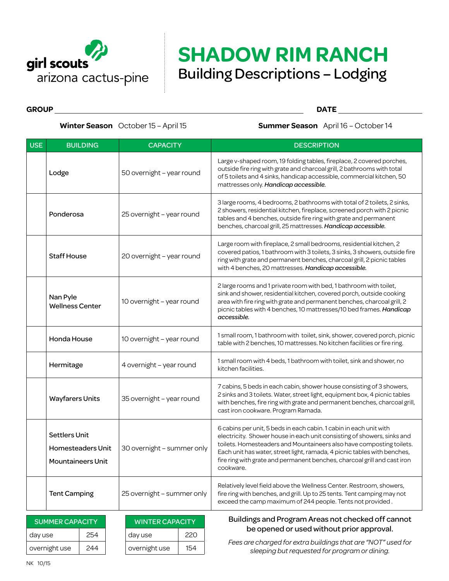

## **SHADOW RIM RANCH** Building Descriptions – Lodging

**GROUP DATE**

**Winter Season** October 15 – April 15 **Summer Season** April 16 – October 14

| <b>USE</b> | <b>BUILDING</b>                                                       | <b>CAPACITY</b>            | <b>DESCRIPTION</b>                                                                                                                                                                                                                                                                                                                                                                         |
|------------|-----------------------------------------------------------------------|----------------------------|--------------------------------------------------------------------------------------------------------------------------------------------------------------------------------------------------------------------------------------------------------------------------------------------------------------------------------------------------------------------------------------------|
|            | Lodge                                                                 | 50 overnight - year round  | Large v-shaped room, 19 folding tables, fireplace, 2 covered porches,<br>outside fire ring with grate and charcoal grill, 2 bathrooms with total<br>of 5 toilets and 4 sinks, handicap accessible, commercial kitchen, 50<br>mattresses only. Handicap accessible.                                                                                                                         |
|            | Ponderosa                                                             | 25 overnight - year round  | 3 large rooms, 4 bedrooms, 2 bathrooms with total of 2 toilets, 2 sinks,<br>2 showers, residential kitchen, fireplace, screened porch with 2 picnic<br>tables and 4 benches, outside fire ring with grate and permanent<br>benches, charcoal grill, 25 mattresses. Handicap accessible.                                                                                                    |
|            | <b>Staff House</b>                                                    | 20 overnight - year round  | Large room with fireplace, 2 small bedrooms, residential kitchen, 2<br>covered patios, 1 bathroom with 3 toilets, 3 sinks, 3 showers, outside fire<br>ring with grate and permanent benches, charcoal grill, 2 picnic tables<br>with 4 benches, 20 mattresses. Handicap accessible.                                                                                                        |
|            | Nan Pyle<br><b>Wellness Center</b>                                    | 10 overnight - year round  | 2 large rooms and 1 private room with bed, 1 bathroom with toilet,<br>sink and shower, residential kitchen, covered porch, outside cooking<br>area with fire ring with grate and permanent benches, charcoal grill, 2<br>picnic tables with 4 benches, 10 mattresses/10 bed frames. Handicap<br>accessible.                                                                                |
|            | Honda House                                                           | 10 overnight - year round  | 1 small room, 1 bathroom with toilet, sink, shower, covered porch, picnic<br>table with 2 benches, 10 mattresses. No kitchen facilities or fire ring.                                                                                                                                                                                                                                      |
|            | Hermitage                                                             | 4 overnight – year round   | 1 small room with 4 beds, 1 bathroom with toilet, sink and shower, no<br>kitchen facilities.                                                                                                                                                                                                                                                                                               |
|            | <b>Wayfarers Units</b>                                                | 35 overnight - year round  | 7 cabins, 5 beds in each cabin, shower house consisting of 3 showers,<br>2 sinks and 3 toilets. Water, street light, equipment box, 4 picnic tables<br>with benches, fire ring with grate and permanent benches, charcoal grill,<br>cast iron cookware. Program Ramada.                                                                                                                    |
|            | <b>Settlers Unit</b><br>Homesteaders Unit<br><b>Mountaineers Unit</b> | 30 overnight - summer only | 6 cabins per unit, 5 beds in each cabin. 1 cabin in each unit with<br>electricity. Shower house in each unit consisting of showers, sinks and<br>toilets. Homesteaders and Mountaineers also have composting toilets.<br>Each unit has water, street light, ramada, 4 picnic tables with benches,<br>fire ring with grate and permanent benches, charcoal grill and cast iron<br>cookware. |
|            | <b>Tent Camping</b>                                                   | 25 overnight - summer only | Relatively level field above the Wellness Center. Restroom, showers,<br>fire ring with benches, and grill. Up to 25 tents. Tent camping may not<br>exceed the camp maximum of 244 people. Tents not provided.                                                                                                                                                                              |

| <b>SUMMER CAPACITY</b> |     | <b>WINTER CAPACITY</b> |     |
|------------------------|-----|------------------------|-----|
| day use                | 254 | day use                | 22N |
| overnight use          | 244 | overnight use          | 154 |

## Buildings and Program Areas not checked off cannot be opened or used without prior approval.

*Fees are charged for extra buildings that are "NOT" used for sleeping but requested for program or dining.*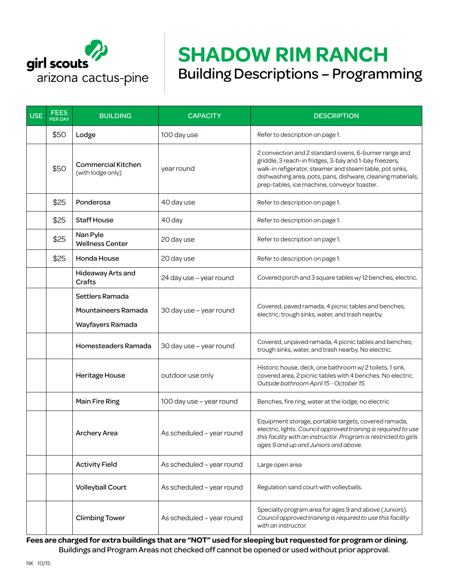

## **SHADOW RIM RANCH** Building Descriptions – Programming

| <b>USE</b> | <b>FEES</b><br>PER DAY | <b>BUILDING</b>                                            | <b>CAPACITY</b>           | <b>DESCRIPTION</b>                                                                                                                                                                                                                                                                        |
|------------|------------------------|------------------------------------------------------------|---------------------------|-------------------------------------------------------------------------------------------------------------------------------------------------------------------------------------------------------------------------------------------------------------------------------------------|
|            | \$50                   | Lodge                                                      | 100 day use               | Refer to description on page 1.                                                                                                                                                                                                                                                           |
|            | \$50                   | <b>Commercial Kitchen</b><br>(with lodge only)             | year round                | 2 convection and 2 standard ovens, 6-burner range and<br>griddle, 3 reach-in fridges, 3-bay and 1-bay freezers,<br>walk-in refigerator, steamer and steam table, pot sinks,<br>dishwashing area, pots, pans, dishware, cleaning materials,<br>prep-tables, ice machine, conveyor toaster. |
|            | \$25                   | Ponderosa                                                  | 40 day use                | Refer to description on page 1.                                                                                                                                                                                                                                                           |
|            | \$25                   | <b>Staff House</b>                                         | 40 day                    | Refer to description on page 1.                                                                                                                                                                                                                                                           |
|            | \$25                   | Nan Pyle<br><b>Wellness Center</b>                         | 20 day use                | Refer to description on page 1.                                                                                                                                                                                                                                                           |
|            | \$25                   | Honda House                                                | 20 day use                | Refer to description on page 1.                                                                                                                                                                                                                                                           |
|            |                        | Hideaway Arts and<br>Crafts                                | 24 day use - year round   | Covered porch and 3 square tables w/12 benches, electric.                                                                                                                                                                                                                                 |
|            |                        | Settlers Ramada<br>Mountaineers Ramada<br>Wayfayers Ramada | 30 day use - year round   | Covered, paved ramada, 4 picnic tables and benches,<br>electric; trough sinks, water, and trash nearby.                                                                                                                                                                                   |
|            |                        | Homesteaders Ramada                                        | 30 day use - year round   | Covered, unpaved ramada, 4 picnic tables and benches;<br>trough sinks, water, and trash nearby. No electric.                                                                                                                                                                              |
|            |                        | <b>Heritage House</b>                                      | outdoor use only          | Historic house, deck, one bathroom w/2 toilets, 1 sink,<br>covered area, 2 picnic tables with 4 benches. No electric.<br>Outside bathroom April 15 - October 15.                                                                                                                          |
|            |                        | Main Fire Ring                                             | 100 day use - year round  | Benches, fire ring, water at the lodge, no electric                                                                                                                                                                                                                                       |
|            |                        | <b>Archery Area</b>                                        | As scheduled - year round | Equipment storage, portable targets, covered ramada,<br>electric, lights. Council approved training is required to use<br>this facility with an instructor. Program is restricted to girls<br>ages 9 and up and Juniors and above.                                                        |
|            |                        | <b>Activity Field</b>                                      | As scheduled - year round | Large open area                                                                                                                                                                                                                                                                           |
|            |                        | <b>Volleyball Court</b>                                    | As scheduled - year round | Regulation sand court with volleyballs.                                                                                                                                                                                                                                                   |
|            |                        | <b>Climbing Tower</b>                                      | As scheduled - year round | Specialty program area for ages 9 and above (Juniors).<br>Council approved training is required to use this facility<br>with an instructor.                                                                                                                                               |

**Fees are charged for extra buildings that are "NOT" used for sleeping but requested for program or dining.** Buildings and Program Areas not checked off cannot be opened or used without prior approval.